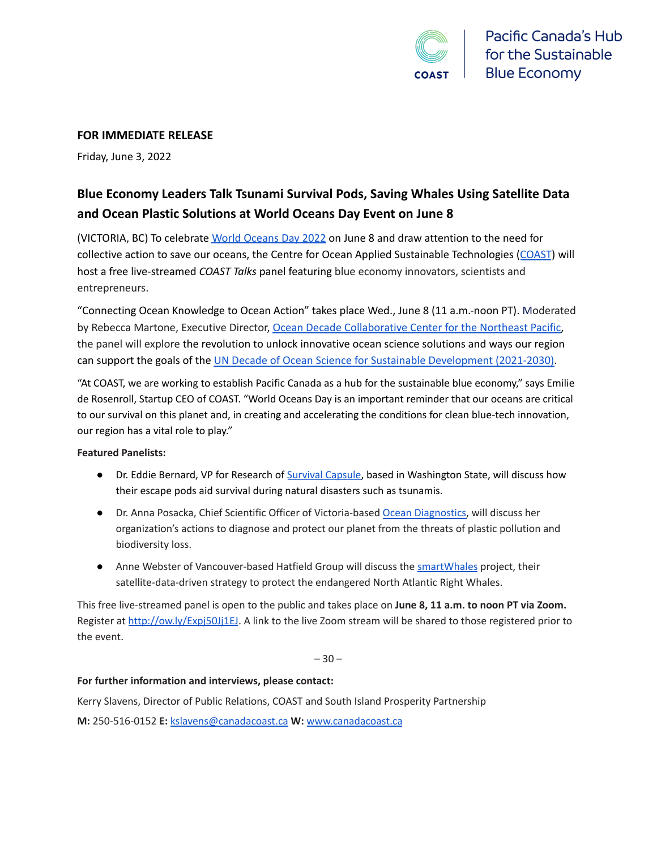

#### **FOR IMMEDIATE RELEASE**

Friday, June 3, 2022

### **Blue Economy Leaders Talk Tsunami Survival Pods, Saving Whales Using Satellite Data and Ocean Plastic Solutions at World Oceans Day Event on June 8**

(VICTORIA, BC) To celebrate World [Oceans](https://www.un.org/en/observances/oceans-day?gclid=CjwKCAjwv-GUBhAzEiwASUMm4nxues3lcQHW9SY_iQ0KRI2ARJqzl9K7iuvsLDO_oi7QXSLZmAsEgBoCTIMQAvD_BwE) Day 2022 on June 8 and draw attention to the need for collective action to save our oceans, the Centre for Ocean Applied Sustainable Technologies ([COAST](https://canadacoast.ca/)) will host a free live-streamed *COAST Talks* panel featuring blue economy innovators, scientists and entrepreneurs.

"Connecting Ocean Knowledge to Ocean Action" takes place Wed., June 8 (11 a.m.-noon PT). Moderated by Rebecca Martone, Executive Director, Ocean Decade [Collaborative](https://oceandecadenortheastpacific.org/) Center for the Northeast Pacific, the panel will explore the revolution to unlock innovative ocean science solutions and ways our region can support the goals of the UN Decade of Ocean Science for Sustainable [Development](https://www.oceandecade.org/) (2021-2030).

"At COAST, we are working to establish Pacific Canada as a hub for the sustainable blue economy," says Emilie de Rosenroll, Startup CEO of COAST. "World Oceans Day is an important reminder that our oceans are critical to our survival on this planet and, in creating and accelerating the conditions for clean blue-tech innovation, our region has a vital role to play."

#### **Featured Panelists:**

- Dr. Eddie Bernard, VP for Research of [Survival Capsule,](http://survival-capsule.com/) based in Washington State, will discuss how their escape pods aid survival during natural disasters such as tsunamis.
- Dr. Anna Posacka, Chief Scientific Officer of Victoria-based [Ocean Diagnostics,](https://www.oceandiagnostics.com/) will discuss her organization's actions to diagnose and protect our planet from the threats of plastic pollution and biodiversity loss.
- Anne Webster of Vancouver-based Hatfield Group will discuss the [smartWhales](https://www.hatfieldgroup.com/news/smartwhales-space-detection-system/) project, their satellite-data-driven strategy to protect the endangered North Atlantic Right Whales.

This free live-streamed panel is open to the public and takes place on **June 8, 11 a.m. to noon PT via Zoom.** Register at <http://ow.ly/Expj50Jj1EJ>. A link to the live Zoom stream will be shared to those registered prior to the event.

 $-30-$ 

#### **For further information and interviews, please contact:**

Kerry Slavens, Director of Public Relations, COAST and South Island Prosperity Partnership

**M:** 250-516-0152 **E:** [kslavens@canadacoast.ca](mailto:kslavens@canadacoast.ca) **W:** [www.canadacoast.ca](http://www.canadacoast.ca)